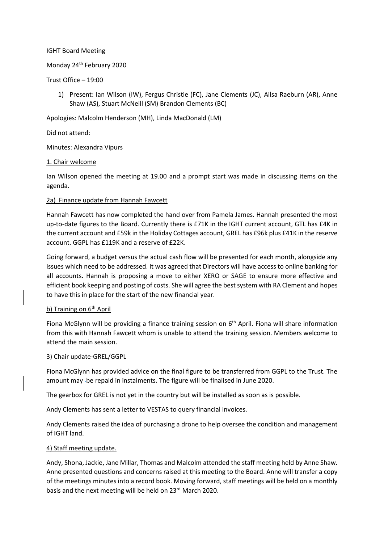#### IGHT Board Meeting

# Monday 24 th February 2020

#### Trust Office – 19:00

1) Present: Ian Wilson (IW), Fergus Christie (FC), Jane Clements (JC), Ailsa Raeburn (AR), Anne Shaw (AS), Stuart McNeill (SM) Brandon Clements (BC)

Apologies: Malcolm Henderson (MH), Linda MacDonald (LM)

## Did not attend:

Minutes: Alexandra Vipurs

### 1. Chair welcome

Ian Wilson opened the meeting at 19.00 and a prompt start was made in discussing items on the agenda.

### 2a) Finance update from Hannah Fawcett

Hannah Fawcett has now completed the hand over from Pamela James. Hannah presented the most up-to-date figures to the Board. Currently there is £71K in the IGHT current account, GTL has £4K in the current account and £59k in the Holiday Cottages account, GREL has £96k plus £41K in the reserve account. GGPL has £119K and a reserve of £22K.

Going forward, a budget versus the actual cash flow will be presented for each month, alongside any issues which need to be addressed. It was agreed that Directors will have access to online banking for all accounts. Hannah is proposing a move to either XERO or SAGE to ensure more effective and efficient book keeping and posting of costs. She will agree the best system with RA Clement and hopes to have this in place for the start of the new financial year.

## b) Training on  $6<sup>th</sup>$  April

Fiona McGlynn will be providing a finance training session on  $6<sup>th</sup>$  April. Fiona will share information from this with Hannah Fawcett whom is unable to attend the training session. Members welcome to attend the main session.

### 3) Chair update-GREL/GGPL

Fiona McGlynn has provided advice on the final figure to be transferred from GGPL to the Trust. The amount may be repaid in instalments. The figure will be finalised in June 2020.

The gearbox for GREL is not yet in the country but will be installed as soon as is possible.

Andy Clements has sent a letter to VESTAS to query financial invoices.

Andy Clements raised the idea of purchasing a drone to help oversee the condition and management of IGHT land.

### 4) Staff meeting update.

Andy, Shona, Jackie, Jane Millar, Thomas and Malcolm attended the staff meeting held by Anne Shaw. Anne presented questions and concerns raised at this meeting to the Board. Anne will transfer a copy of the meetings minutes into a record book. Moving forward, staff meetings will be held on a monthly basis and the next meeting will be held on 23<sup>rd</sup> March 2020.